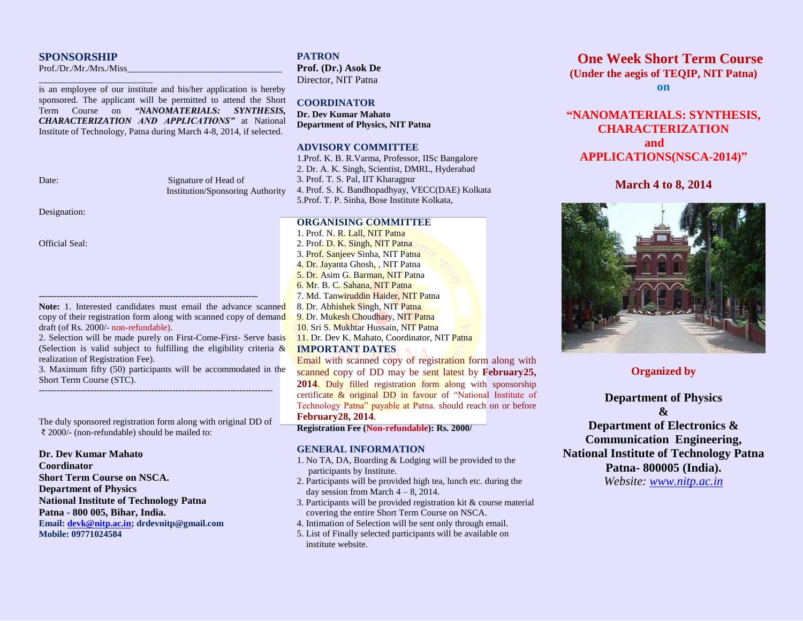## **SPONSORSHIP**

Prof./Dr./Mr./Mrs./Miss

\_\_\_\_\_\_\_\_\_\_\_\_\_\_\_\_\_\_\_\_\_\_\_\_\_

is an employee of our institute and his/her application is hereby sponsored. The applicant will be permitted to attend the Short Term Course on *"NANOMATERIALS: SYNTHESIS, CHARACTERIZATION AND APPLICATIONS"* at National Institute of Technology, Patna during March 4-8, 2014, if selected.

Date: Signature of Head of Institution/Sponsoring Authority

Designation:

Official Seal:

Note: 1. Interested candidates must email the advance scanned copy of their registration form along with scanned copy of demand draft (of Rs. 2000/- non-refundable).

**------------------------------------------------------------------------**

2. Selection will be made purely on First-Come-First- Serve basis (Selection is valid subject to fulfilling the eligibility criteria  $\&$ realization of Registration Fee).

3. Maximum fifty (50) participants will be accommodated in the Short Term Course (STC). -----------------------------------------------------------------------------

The duly sponsored registration form along with original DD of ₹ 2000/- (non-refundable) should be mailed to:

#### **Dr. Dev Kumar Mahato**

**Coordinator Short Term Course on NSCA. Department of Physics National Institute of Technology Patna Patna - 800 005, Bihar, India. Email[: devk@nitp.ac.in;](mailto:devk@nitp.ac.in) drdevnitp@gmail.com Mobile: 09771024584**

**PATRON Prof. (Dr.) Asok De** Director, NIT Patna

**COORDINATOR Dr. Dev Kumar Mahato Department of Physics, NIT Patna** 

# **ADVISORY COMMITTEE**

1.Prof. K. B. R.Varma, Professor, IISc Bangalore 2. Dr. A. K. Singh, Scientist, DMRL, Hyderabad 3. Prof. T. S. Pal, IIT Kharagpur 4. Prof. S. K. Bandhopadhyay, VECC(DAE) Kolkata 5.Prof. T. P. Sinha, Bose Institute Kolkata,

# **ORGANISING COMMITTEE**

1. Prof. N. R. Lall, NIT Patna 2. Prof. D. K. Singh, NIT Patna 3. Prof. Sanjeev Sinha, NIT Patna 4. Dr. Jayanta Ghosh, , NIT Patna 5. Dr. Asim G. Barman, NIT Patna 6. Mr. B. C. Sahana, NIT Patna 7. Md. Tanwiruddin Haider, NIT Patna 8. Dr. Abhishek Singh, NIT Patna 9. Dr. Mukesh Choudhary, NIT Patna 10. Sri S. Mukhtar Hussain, NIT Patna 11. Dr. Dev K. Mahato, Coordinator, NIT Patna

## **IMPORTANT DATES**

Email with scanned copy of registration form along with scanned copy of DD may be sent latest by **February25, 2014**. Duly filled registration form along with sponsorship certificate & original DD in favour of "National Institute of Technology Patna" payable at Patna. should reach on or before **February28, 2014**.

#### **Registration Fee (Non-refundable): Rs. 2000/**

### **GENERAL INFORMATION**

- 1. No TA, DA, Boarding & Lodging will be provided to the participants by Institute.
- 2. Participants will be provided high tea, lunch etc. during the day session from March  $4 - 8$ , 2014.
- 3. Participants will be provided registration kit & course material covering the entire Short Term Course on NSCA.
- 4. Intimation of Selection will be sent only through email.
- 5. List of Finally selected participants will be available on institute website.

# **One Week Short Term Course (Under the aegis of TEQIP, NIT Patna)**

**on** 

# **"NANOMATERIALS: SYNTHESIS, CHARACTERIZATION and APPLICATIONS(NSCA-2014)"**

# **March 4 to 8, 2014**



**Organized by**

**Department of Physics**

**&**

**Department of Electronics & Communication Engineering, National Institute of Technology Patna Patna- 800005 (India).**  *Website: [www.nitp.ac.in](http://www.nitp.ac.in/)*